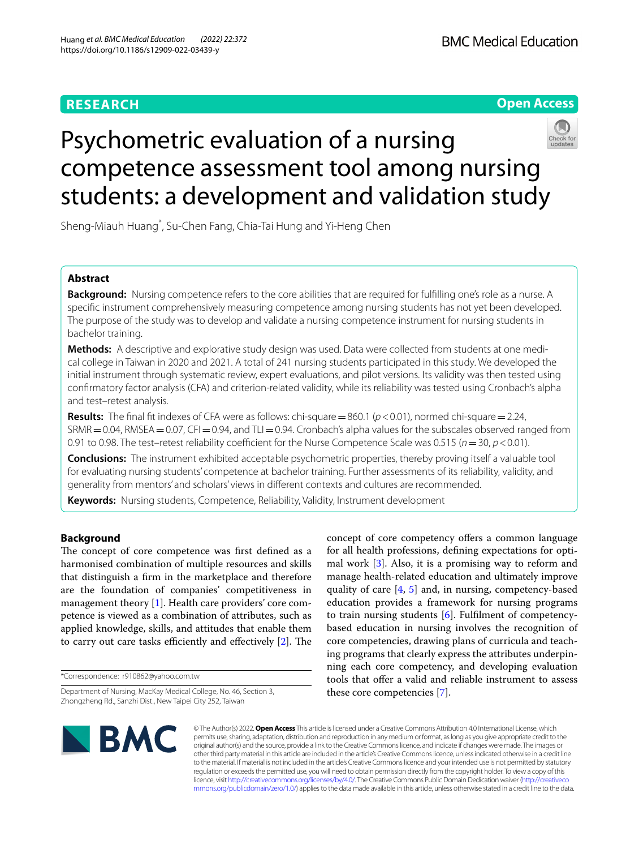# **RESEARCH**

**Open Access**

# Psychometric evaluation of a nursing competence assessment tool among nursing students: a development and validation study

Sheng‑Miauh Huang\* , Su‑Chen Fang, Chia‑Tai Hung and Yi‑Heng Chen

# **Abstract**

**Background:** Nursing competence refers to the core abilities that are required for fulflling one's role as a nurse. A specifc instrument comprehensively measuring competence among nursing students has not yet been developed. The purpose of the study was to develop and validate a nursing competence instrument for nursing students in bachelor training.

**Methods:** A descriptive and explorative study design was used. Data were collected from students at one medi‑ cal college in Taiwan in 2020 and 2021. A total of 241 nursing students participated in this study. We developed the initial instrument through systematic review, expert evaluations, and pilot versions. Its validity was then tested using confrmatory factor analysis (CFA) and criterion-related validity, while its reliability was tested using Cronbach's alpha and test–retest analysis.

**Results:** The final fit indexes of CFA were as follows: chi-square  $=$  860.1 ( $p$  < 0.01), normed chi-square  $=$  2.24,  $SRMR = 0.04$ , RMSEA = 0.07, CFI = 0.94, and TLI = 0.94. Cronbach's alpha values for the subscales observed ranged from 0.91 to 0.98. The test–retest reliability coefficient for the Nurse Competence Scale was 0.515 ( $n = 30$ ,  $p < 0.01$ ).

**Conclusions:** The instrument exhibited acceptable psychometric properties, thereby proving itself a valuable tool for evaluating nursing students' competence at bachelor training. Further assessments of its reliability, validity, and generality from mentors' and scholars' views in diferent contexts and cultures are recommended.

**Keywords:** Nursing students, Competence, Reliability, Validity, Instrument development

# **Background**

The concept of core competence was first defined as a harmonised combination of multiple resources and skills that distinguish a frm in the marketplace and therefore are the foundation of companies' competitiveness in management theory [\[1](#page-7-0)]. Health care providers' core competence is viewed as a combination of attributes, such as applied knowledge, skills, and attitudes that enable them to carry out care tasks efficiently and effectively  $[2]$  $[2]$ . The

\*Correspondence: r910862@yahoo.com.tw

concept of core competency offers a common language for all health professions, defning expectations for optimal work [[3\]](#page-7-2). Also, it is a promising way to reform and manage health-related education and ultimately improve quality of care [[4,](#page-7-3) [5](#page-7-4)] and, in nursing, competency-based education provides a framework for nursing programs to train nursing students  $[6]$  $[6]$ . Fulfilment of competencybased education in nursing involves the recognition of core competencies, drawing plans of curricula and teaching programs that clearly express the attributes underpinning each core competency, and developing evaluation tools that offer a valid and reliable instrument to assess these core competencies [[7\]](#page-7-6).



© The Author(s) 2022. **Open Access** This article is licensed under a Creative Commons Attribution 4.0 International License, which permits use, sharing, adaptation, distribution and reproduction in any medium or format, as long as you give appropriate credit to the original author(s) and the source, provide a link to the Creative Commons licence, and indicate if changes were made. The images or other third party material in this article are included in the article's Creative Commons licence, unless indicated otherwise in a credit line to the material. If material is not included in the article's Creative Commons licence and your intended use is not permitted by statutory regulation or exceeds the permitted use, you will need to obtain permission directly from the copyright holder. To view a copy of this licence, visit [http://creativecommons.org/licenses/by/4.0/.](http://creativecommons.org/licenses/by/4.0/) The Creative Commons Public Domain Dedication waiver ([http://creativeco](http://creativecommons.org/publicdomain/zero/1.0/) [mmons.org/publicdomain/zero/1.0/](http://creativecommons.org/publicdomain/zero/1.0/)) applies to the data made available in this article, unless otherwise stated in a credit line to the data.

Department of Nursing, MacKay Medical College, No. 46, Section 3, Zhongzheng Rd., Sanzhi Dist., New Taipei City 252, Taiwan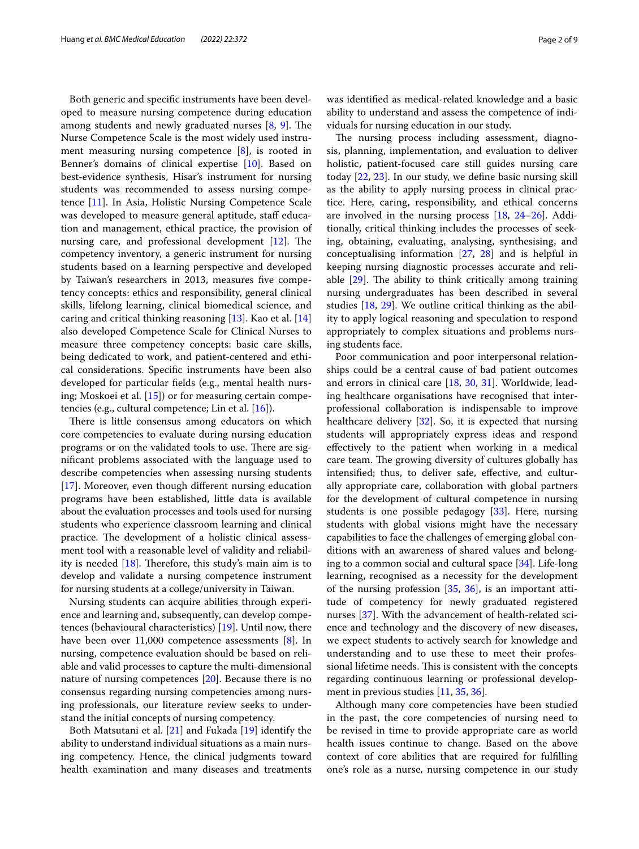Both generic and specifc instruments have been developed to measure nursing competence during education among students and newly graduated nurses  $[8, 9]$  $[8, 9]$  $[8, 9]$  $[8, 9]$  $[8, 9]$ . The Nurse Competence Scale is the most widely used instrument measuring nursing competence [\[8\]](#page-7-7), is rooted in Benner's domains of clinical expertise [\[10\]](#page-7-9). Based on best-evidence synthesis, Hisar's instrument for nursing students was recommended to assess nursing competence [[11](#page-7-10)]. In Asia, Holistic Nursing Competence Scale was developed to measure general aptitude, staff education and management, ethical practice, the provision of nursing care, and professional development  $[12]$  $[12]$  $[12]$ . The competency inventory, a generic instrument for nursing students based on a learning perspective and developed by Taiwan's researchers in 2013, measures fve competency concepts: ethics and responsibility, general clinical skills, lifelong learning, clinical biomedical science, and caring and critical thinking reasoning [[13\]](#page-7-12). Kao et al. [[14](#page-7-13)] also developed Competence Scale for Clinical Nurses to measure three competency concepts: basic care skills, being dedicated to work, and patient-centered and ethical considerations. Specifc instruments have been also developed for particular felds (e.g., mental health nursing; Moskoei et al. [[15\]](#page-7-14)) or for measuring certain competencies (e.g., cultural competence; Lin et al. [[16\]](#page-7-15)).

There is little consensus among educators on which core competencies to evaluate during nursing education programs or on the validated tools to use. There are signifcant problems associated with the language used to describe competencies when assessing nursing students [[17\]](#page-7-16). Moreover, even though diferent nursing education programs have been established, little data is available about the evaluation processes and tools used for nursing students who experience classroom learning and clinical practice. The development of a holistic clinical assessment tool with a reasonable level of validity and reliability is needed  $[18]$  $[18]$ . Therefore, this study's main aim is to develop and validate a nursing competence instrument for nursing students at a college/university in Taiwan.

Nursing students can acquire abilities through experience and learning and, subsequently, can develop competences (behavioural characteristics) [[19](#page-8-1)]. Until now, there have been over 11,000 competence assessments [\[8](#page-7-7)]. In nursing, competence evaluation should be based on reliable and valid processes to capture the multi-dimensional nature of nursing competences [\[20](#page-8-2)]. Because there is no consensus regarding nursing competencies among nursing professionals, our literature review seeks to understand the initial concepts of nursing competency.

Both Matsutani et al. [[21\]](#page-8-3) and Fukada [\[19](#page-8-1)] identify the ability to understand individual situations as a main nursing competency. Hence, the clinical judgments toward health examination and many diseases and treatments was identifed as medical-related knowledge and a basic ability to understand and assess the competence of individuals for nursing education in our study.

The nursing process including assessment, diagnosis, planning, implementation, and evaluation to deliver holistic, patient-focused care still guides nursing care today [\[22](#page-8-4), [23](#page-8-5)]. In our study, we defne basic nursing skill as the ability to apply nursing process in clinical practice. Here, caring, responsibility, and ethical concerns are involved in the nursing process [\[18](#page-8-0), [24–](#page-8-6)[26](#page-8-7)]. Additionally, critical thinking includes the processes of seeking, obtaining, evaluating, analysing, synthesising, and conceptualising information [[27,](#page-8-8) [28](#page-8-9)] and is helpful in keeping nursing diagnostic processes accurate and reliable  $[29]$  $[29]$  $[29]$ . The ability to think critically among training nursing undergraduates has been described in several studies [[18,](#page-8-0) [29\]](#page-8-10). We outline critical thinking as the ability to apply logical reasoning and speculation to respond appropriately to complex situations and problems nursing students face.

Poor communication and poor interpersonal relationships could be a central cause of bad patient outcomes and errors in clinical care [\[18](#page-8-0), [30](#page-8-11), [31\]](#page-8-12). Worldwide, leading healthcare organisations have recognised that interprofessional collaboration is indispensable to improve healthcare delivery [[32\]](#page-8-13). So, it is expected that nursing students will appropriately express ideas and respond efectively to the patient when working in a medical care team. The growing diversity of cultures globally has intensifed; thus, to deliver safe, efective, and culturally appropriate care, collaboration with global partners for the development of cultural competence in nursing students is one possible pedagogy [\[33](#page-8-14)]. Here, nursing students with global visions might have the necessary capabilities to face the challenges of emerging global conditions with an awareness of shared values and belonging to a common social and cultural space [[34\]](#page-8-15). Life-long learning, recognised as a necessity for the development of the nursing profession [\[35](#page-8-16), [36](#page-8-17)], is an important attitude of competency for newly graduated registered nurses [\[37](#page-8-18)]. With the advancement of health-related science and technology and the discovery of new diseases, we expect students to actively search for knowledge and understanding and to use these to meet their professional lifetime needs. This is consistent with the concepts regarding continuous learning or professional development in previous studies [\[11](#page-7-10), [35](#page-8-16), [36\]](#page-8-17).

Although many core competencies have been studied in the past, the core competencies of nursing need to be revised in time to provide appropriate care as world health issues continue to change. Based on the above context of core abilities that are required for fulflling one's role as a nurse, nursing competence in our study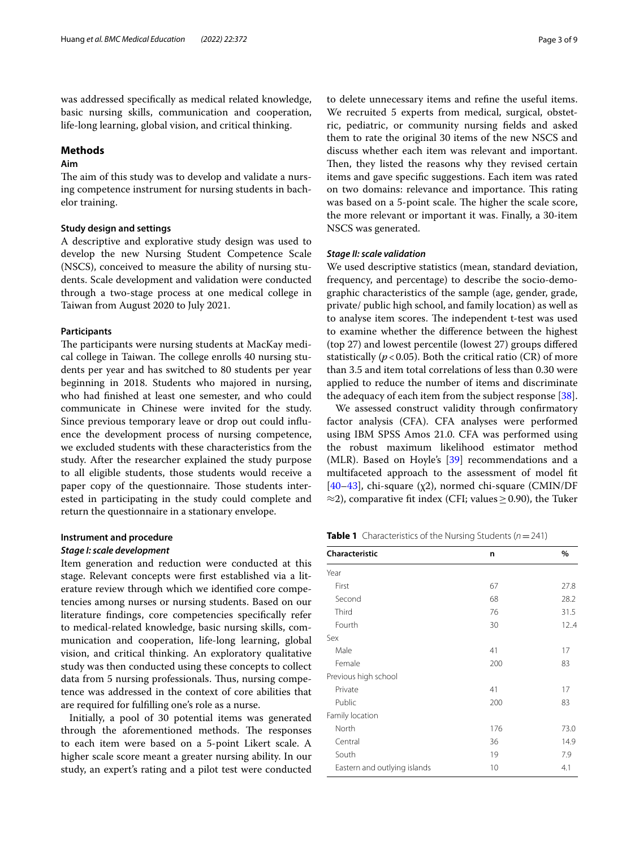was addressed specifcally as medical related knowledge, basic nursing skills, communication and cooperation, life-long learning, global vision, and critical thinking.

# **Methods**

# **Aim**

The aim of this study was to develop and validate a nursing competence instrument for nursing students in bachelor training.

## **Study design and settings**

A descriptive and explorative study design was used to develop the new Nursing Student Competence Scale (NSCS), conceived to measure the ability of nursing students. Scale development and validation were conducted through a two-stage process at one medical college in Taiwan from August 2020 to July 2021.

## **Participants**

The participants were nursing students at MacKay medical college in Taiwan. The college enrolls 40 nursing students per year and has switched to 80 students per year beginning in 2018. Students who majored in nursing, who had fnished at least one semester, and who could communicate in Chinese were invited for the study. Since previous temporary leave or drop out could infuence the development process of nursing competence, we excluded students with these characteristics from the study. After the researcher explained the study purpose to all eligible students, those students would receive a paper copy of the questionnaire. Those students interested in participating in the study could complete and return the questionnaire in a stationary envelope.

#### **Instrument and procedure**

#### *Stage I: scale development*

Item generation and reduction were conducted at this stage. Relevant concepts were frst established via a literature review through which we identifed core competencies among nurses or nursing students. Based on our literature fndings, core competencies specifcally refer to medical-related knowledge, basic nursing skills, communication and cooperation, life-long learning, global vision, and critical thinking. An exploratory qualitative study was then conducted using these concepts to collect data from 5 nursing professionals. Thus, nursing competence was addressed in the context of core abilities that are required for fulflling one's role as a nurse.

Initially, a pool of 30 potential items was generated through the aforementioned methods. The responses to each item were based on a 5-point Likert scale. A higher scale score meant a greater nursing ability. In our study, an expert's rating and a pilot test were conducted to delete unnecessary items and refne the useful items. We recruited 5 experts from medical, surgical, obstetric, pediatric, or community nursing felds and asked them to rate the original 30 items of the new NSCS and discuss whether each item was relevant and important. Then, they listed the reasons why they revised certain items and gave specifc suggestions. Each item was rated on two domains: relevance and importance. This rating was based on a 5-point scale. The higher the scale score, the more relevant or important it was. Finally, a 30-item NSCS was generated.

## *Stage II: scale validation*

We used descriptive statistics (mean, standard deviation, frequency, and percentage) to describe the socio-demographic characteristics of the sample (age, gender, grade, private/ public high school, and family location) as well as to analyse item scores. The independent t-test was used to examine whether the diference between the highest (top 27) and lowest percentile (lowest 27) groups difered statistically  $(p<0.05)$ . Both the critical ratio (CR) of more than 3.5 and item total correlations of less than 0.30 were applied to reduce the number of items and discriminate the adequacy of each item from the subject response [\[38](#page-8-19)].

We assessed construct validity through confrmatory factor analysis (CFA). CFA analyses were performed using IBM SPSS Amos 21.0. CFA was performed using the robust maximum likelihood estimator method (MLR). Based on Hoyle's [[39\]](#page-8-20) recommendations and a multifaceted approach to the assessment of model ft [[40–](#page-8-21)[43\]](#page-8-22), chi-square ( $\chi$ 2), normed chi-square (CMIN/DF  $\approx$ 2), comparative fit index (CFI; values  $\geq$  0.90), the Tuker

<span id="page-2-0"></span>**Table 1** Characteristics of the Nursing Students ( $n = 241$ )

| <b>Characteristic</b>        | n   | %    |  |
|------------------------------|-----|------|--|
| Year                         |     |      |  |
| First                        | 67  | 27.8 |  |
| Second                       | 68  | 28.2 |  |
| Third                        | 76  | 31.5 |  |
| Fourth                       | 30  | 12.4 |  |
| Sex                          |     |      |  |
| Male                         | 41  | 17   |  |
| Female                       | 200 | 83   |  |
| Previous high school         |     |      |  |
| Private                      | 41  | 17   |  |
| Public                       | 200 | 83   |  |
| Family location              |     |      |  |
| North                        | 176 | 73.0 |  |
| Central                      | 36  | 14.9 |  |
| South                        | 19  | 7.9  |  |
| Eastern and outlying islands | 10  | 4.1  |  |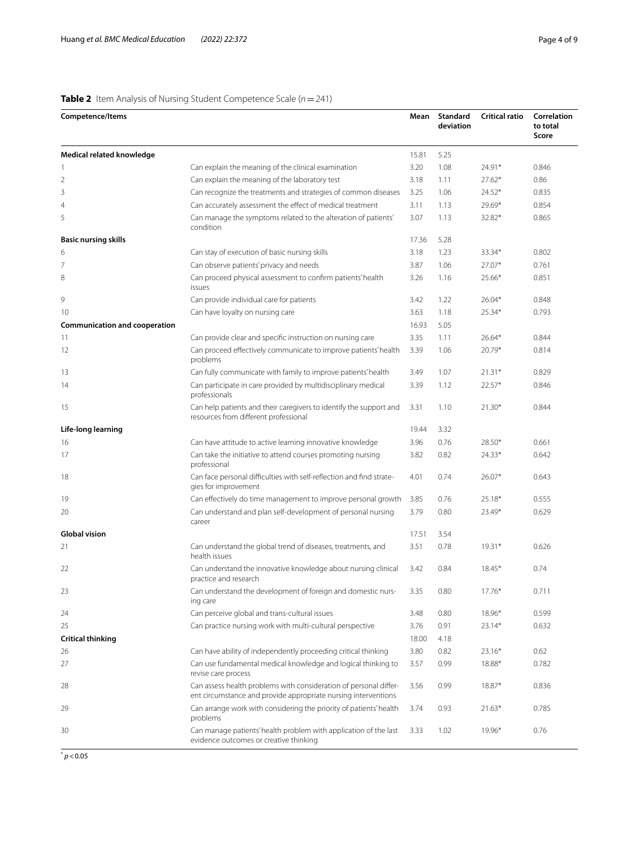# <span id="page-3-0"></span>**Table 2** Item Analysis of Nursing Student Competence Scale (*n*=241)

| Competence/Items                     |                                                                                                                                     | Mean  | <b>Standard</b><br>deviation | <b>Critical ratio</b> | Correlation<br>to total<br>Score |
|--------------------------------------|-------------------------------------------------------------------------------------------------------------------------------------|-------|------------------------------|-----------------------|----------------------------------|
| Medical related knowledge            |                                                                                                                                     | 15.81 | 5.25                         |                       |                                  |
| -1                                   | Can explain the meaning of the clinical examination                                                                                 | 3.20  | 1.08                         | 24.91*                | 0.846                            |
| 2                                    | Can explain the meaning of the laboratory test                                                                                      | 3.18  | 1.11                         | $27.62*$              | 0.86                             |
| 3                                    | Can recognize the treatments and strategies of common diseases                                                                      | 3.25  | 1.06                         | 24.52*                | 0.835                            |
| 4                                    | Can accurately assessment the effect of medical treatment                                                                           | 3.11  | 1.13                         | 29.69*                | 0.854                            |
| 5                                    | Can manage the symptoms related to the alteration of patients'<br>condition                                                         | 3.07  | 1.13                         | 32.82*                | 0.865                            |
| <b>Basic nursing skills</b>          |                                                                                                                                     | 17.36 | 5.28                         |                       |                                  |
| 6                                    | Can stay of execution of basic nursing skills                                                                                       | 3.18  | 1.23                         | 33.34*                | 0.802                            |
| 7                                    | Can observe patients' privacy and needs                                                                                             | 3.87  | 1.06                         | 27.07*                | 0.761                            |
| 8                                    | Can proceed physical assessment to confirm patients' health<br>issues                                                               | 3.26  | 1.16                         | 25.66*                | 0.851                            |
| 9                                    | Can provide individual care for patients                                                                                            | 3.42  | 1.22                         | 26.04*                | 0.848                            |
| 10                                   | Can have loyalty on nursing care                                                                                                    | 3.63  | 1.18                         | 25.34*                | 0.793                            |
| <b>Communication and cooperation</b> |                                                                                                                                     | 16.93 | 5.05                         |                       |                                  |
| 11                                   | Can provide clear and specific instruction on nursing care                                                                          | 3.35  | 1.11                         | 26.64*                | 0.844                            |
| 12                                   | Can proceed effectively communicate to improve patients' health<br>problems                                                         | 3.39  | 1.06                         | $20.79*$              | 0.814                            |
| 13                                   | Can fully communicate with family to improve patients' health                                                                       | 3.49  | 1.07                         | $21.31*$              | 0.829                            |
| 14                                   | Can participate in care provided by multidisciplinary medical<br>professionals                                                      | 3.39  | 1.12                         | $22.57*$              | 0.846                            |
| 15                                   | Can help patients and their caregivers to identify the support and<br>resources from different professional                         | 3.31  | 1.10                         | $21.30*$              | 0.844                            |
| Life-long learning                   |                                                                                                                                     | 19.44 | 3.32                         |                       |                                  |
| 16                                   | Can have attitude to active learning innovative knowledge                                                                           | 3.96  | 0.76                         | 28.50*                | 0.661                            |
| 17                                   | Can take the initiative to attend courses promoting nursing<br>professional                                                         | 3.82  | 0.82                         | $24.33*$              | 0.642                            |
| 18                                   | Can face personal difficulties with self-reflection and find strate-<br>gies for improvement                                        | 4.01  | 0.74                         | $26.07*$              | 0.643                            |
| 19                                   | Can effectively do time management to improve personal growth                                                                       | 3.85  | 0.76                         | $25.18*$              | 0.555                            |
| 20                                   | Can understand and plan self-development of personal nursing<br>career                                                              | 3.79  | 0.80                         | 23.49*                | 0.629                            |
| <b>Global vision</b>                 |                                                                                                                                     | 17.51 | 3.54                         |                       |                                  |
| 21                                   | Can understand the global trend of diseases, treatments, and<br>health issues                                                       | 3.51  | 0.78                         | $19.31*$              | 0.626                            |
| 22                                   | Can understand the innovative knowledge about nursing clinical<br>practice and research                                             | 3.42  | 0.84                         | $18.45*$              | 0.74                             |
| 23                                   | Can understand the development of foreign and domestic nurs-<br>ing care                                                            | 3.35  | 0.80                         | 17.76*                | 0.711                            |
| 24                                   | Can perceive global and trans-cultural issues                                                                                       | 3.48  | 0.80                         | 18.96*                | 0.599                            |
| 25                                   | Can practice nursing work with multi-cultural perspective                                                                           | 3.76  | 0.91                         | 23.14*                | 0.632                            |
| <b>Critical thinking</b>             |                                                                                                                                     | 18.00 | 4.18                         |                       |                                  |
| 26                                   | Can have ability of independently proceeding critical thinking                                                                      | 3.80  | 0.82                         | 23.16*                | 0.62                             |
| 27                                   | Can use fundamental medical knowledge and logical thinking to<br>revise care process                                                | 3.57  | 0.99                         | 18.88*                | 0.782                            |
| 28                                   | Can assess health problems with consideration of personal differ-<br>ent circumstance and provide appropriate nursing interventions | 3.56  | 0.99                         | $18.87*$              | 0.836                            |
| 29                                   | Can arrange work with considering the priority of patients' health<br>problems                                                      | 3.74  | 0.93                         | $21.63*$              | 0.785                            |
| 30                                   | Can manage patients' health problem with application of the last<br>evidence outcomes or creative thinking                          | 3.33  | 1.02                         | 19.96*                | 0.76                             |

 $\sqrt[p]{p}$  < 0.05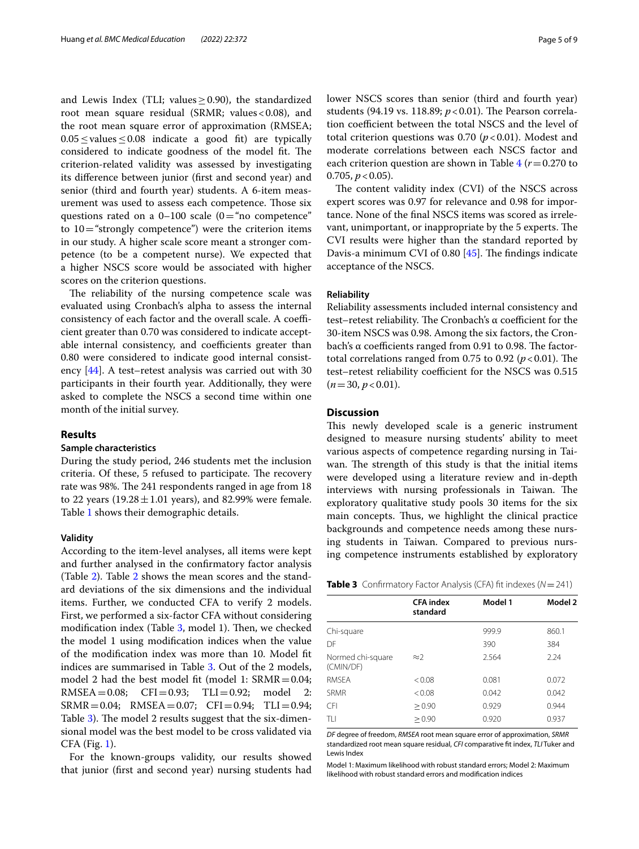and Lewis Index (TLI; values  $\geq$  0.90), the standardized root mean square residual (SRMR; values < 0.08), and the root mean square error of approximation (RMSEA; 0.05≤values≤0.08 indicate a good ft) are typically considered to indicate goodness of the model fit. The criterion-related validity was assessed by investigating its diference between junior (frst and second year) and senior (third and fourth year) students. A 6-item measurement was used to assess each competence. Those six questions rated on a  $0-100$  scale  $(0=$ "no competence" to  $10$  = "strongly competence") were the criterion items in our study. A higher scale score meant a stronger competence (to be a competent nurse). We expected that a higher NSCS score would be associated with higher scores on the criterion questions.

The reliability of the nursing competence scale was evaluated using Cronbach's alpha to assess the internal consistency of each factor and the overall scale. A coefficient greater than 0.70 was considered to indicate acceptable internal consistency, and coefficients greater than 0.80 were considered to indicate good internal consistency [\[44\]](#page-8-23). A test–retest analysis was carried out with 30 participants in their fourth year. Additionally, they were asked to complete the NSCS a second time within one month of the initial survey.

#### **Results**

## **Sample characteristics**

During the study period, 246 students met the inclusion criteria. Of these, 5 refused to participate. The recovery rate was 98%. The 241 respondents ranged in age from 18 to 22 years  $(19.28 \pm 1.01$  years), and 82.99% were female. Table [1](#page-2-0) shows their demographic details.

#### **Validity**

According to the item-level analyses, all items were kept and further analysed in the confrmatory factor analysis (Table [2](#page-3-0)). Table [2](#page-3-0) shows the mean scores and the standard deviations of the six dimensions and the individual items. Further, we conducted CFA to verify 2 models. First, we performed a six-factor CFA without considering modification index (Table  $3$ , model 1). Then, we checked the model 1 using modifcation indices when the value of the modifcation index was more than 10. Model ft indices are summarised in Table [3.](#page-4-0) Out of the 2 models, model 2 had the best model fit (model 1:  $SRMR = 0.04$ ;  $RMSEA = 0.08;$   $CFI = 0.93;$   $TLI = 0.92;$  model  $SRMR = 0.04; RMSEA = 0.07; CFI = 0.94; TLI = 0.94;$ Table [3\)](#page-4-0). The model 2 results suggest that the six-dimensional model was the best model to be cross validated via CFA (Fig. [1\)](#page-5-0).

For the known-groups validity, our results showed that junior (frst and second year) nursing students had lower NSCS scores than senior (third and fourth year) students (94.19 vs. 118.89; *p* < 0.01). The Pearson correlation coefficient between the total NSCS and the level of total criterion questions was  $0.70$  ( $p < 0.01$ ). Modest and moderate correlations between each NSCS factor and each criterion question are shown in Table  $4(r=0.270 \text{ to}$ 0.705,  $p < 0.05$ ).

The content validity index (CVI) of the NSCS across expert scores was 0.97 for relevance and 0.98 for importance. None of the fnal NSCS items was scored as irrelevant, unimportant, or inappropriate by the 5 experts. The CVI results were higher than the standard reported by Davis-a minimum CVI of  $0.80$  [[45\]](#page-8-24). The findings indicate acceptance of the NSCS.

## **Reliability**

Reliability assessments included internal consistency and test-retest reliability. The Cronbach's α coefficient for the 30-item NSCS was 0.98. Among the six factors, the Cronbach's  $\alpha$  coefficients ranged from 0.91 to 0.98. The factortotal correlations ranged from 0.75 to 0.92 ( $p < 0.01$ ). The test–retest reliability coefficient for the NSCS was 0.515  $(n=30, p<0.01).$ 

## **Discussion**

This newly developed scale is a generic instrument designed to measure nursing students' ability to meet various aspects of competence regarding nursing in Taiwan. The strength of this study is that the initial items were developed using a literature review and in-depth interviews with nursing professionals in Taiwan. The exploratory qualitative study pools 30 items for the six main concepts. Thus, we highlight the clinical practice backgrounds and competence needs among these nursing students in Taiwan. Compared to previous nursing competence instruments established by exploratory

<span id="page-4-0"></span>**Table 3** Confrmatory Factor Analysis (CFA) ft indexes (*N*=241)

|                                | <b>CFA</b> index<br>standard | Model 1 | Model 2 |
|--------------------------------|------------------------------|---------|---------|
| Chi-square                     |                              | 999.9   | 860.1   |
| DF                             |                              | 390     | 384     |
| Normed chi-square<br>(CMIN/DF) | $\approx$                    | 2.564   | 2.24    |
| <b>RMSEA</b>                   | < 0.08                       | 0.081   | 0.072   |
| <b>SRMR</b>                    | &0.08                        | 0.042   | 0.042   |
| <b>CFI</b>                     | > 0.90                       | 0.929   | 0.944   |
| TH                             | > 0.90                       | 0.920   | 0.937   |
|                                |                              |         |         |

*DF* degree of freedom, *RMSEA* root mean square error of approximation, *SRMR* standardized root mean square residual, *CFI* comparative ft index, *TLI* Tuker and Lewis Index

Model 1: Maximum likelihood with robust standard errors; Model 2: Maximum likelihood with robust standard errors and modifcation indices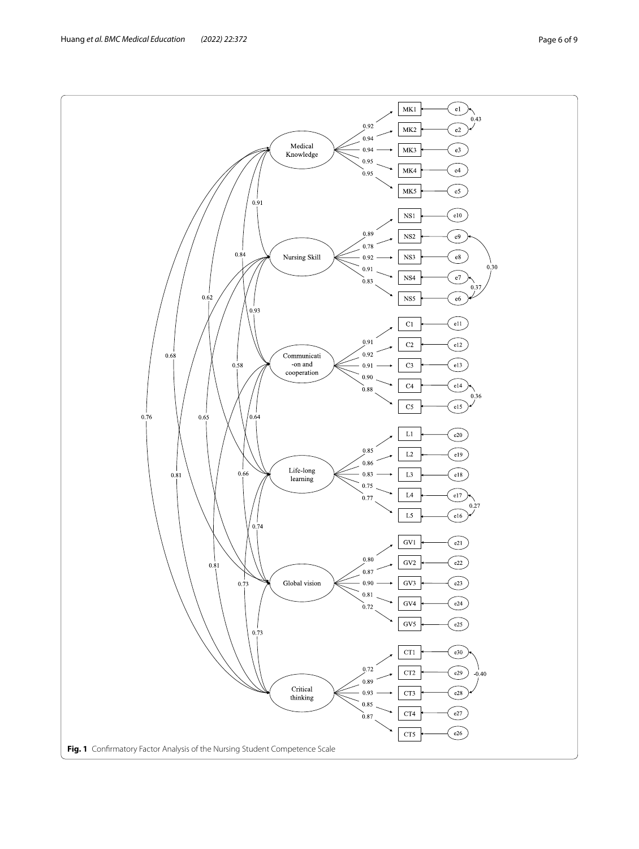<span id="page-5-0"></span>**Fig. 1** Confrmatory Factor Analysis of the Nursing Student Competence Scale

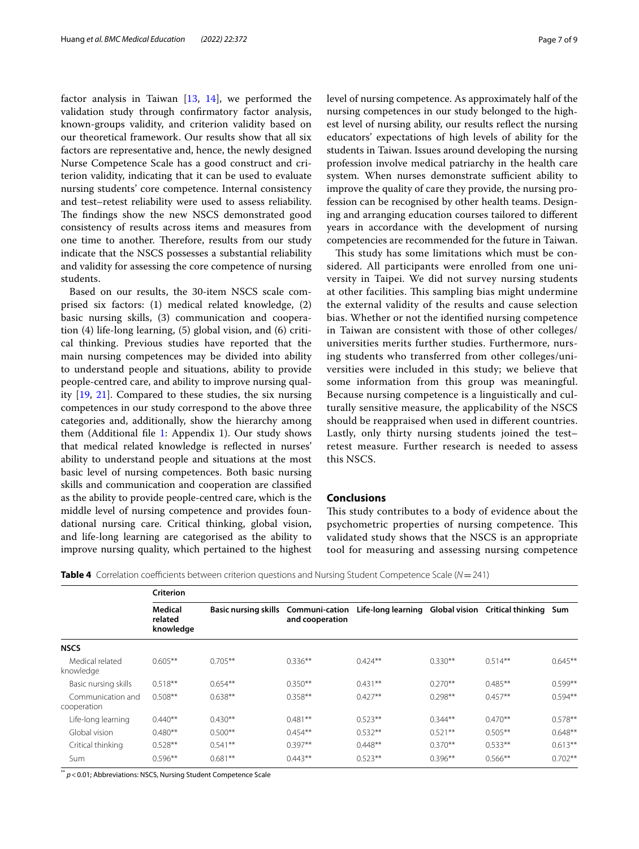factor analysis in Taiwan [\[13](#page-7-12), [14](#page-7-13)], we performed the validation study through confrmatory factor analysis, known-groups validity, and criterion validity based on our theoretical framework. Our results show that all six factors are representative and, hence, the newly designed Nurse Competence Scale has a good construct and criterion validity, indicating that it can be used to evaluate nursing students' core competence. Internal consistency and test–retest reliability were used to assess reliability. The findings show the new NSCS demonstrated good consistency of results across items and measures from one time to another. Therefore, results from our study indicate that the NSCS possesses a substantial reliability and validity for assessing the core competence of nursing students.

Based on our results, the 30-item NSCS scale comprised six factors: (1) medical related knowledge, (2) basic nursing skills, (3) communication and cooperation (4) life-long learning, (5) global vision, and (6) critical thinking. Previous studies have reported that the main nursing competences may be divided into ability to understand people and situations, ability to provide people-centred care, and ability to improve nursing quality [[19,](#page-8-1) [21\]](#page-8-3). Compared to these studies, the six nursing competences in our study correspond to the above three categories and, additionally, show the hierarchy among them (Additional file  $1$ : Appendix 1). Our study shows that medical related knowledge is refected in nurses' ability to understand people and situations at the most basic level of nursing competences. Both basic nursing skills and communication and cooperation are classifed as the ability to provide people-centred care, which is the middle level of nursing competence and provides foundational nursing care. Critical thinking, global vision, and life-long learning are categorised as the ability to improve nursing quality, which pertained to the highest level of nursing competence. As approximately half of the nursing competences in our study belonged to the highest level of nursing ability, our results refect the nursing educators' expectations of high levels of ability for the students in Taiwan. Issues around developing the nursing profession involve medical patriarchy in the health care system. When nurses demonstrate sufficient ability to improve the quality of care they provide, the nursing profession can be recognised by other health teams. Designing and arranging education courses tailored to diferent years in accordance with the development of nursing competencies are recommended for the future in Taiwan.

This study has some limitations which must be considered. All participants were enrolled from one university in Taipei. We did not survey nursing students at other facilities. This sampling bias might undermine the external validity of the results and cause selection bias. Whether or not the identifed nursing competence in Taiwan are consistent with those of other colleges/ universities merits further studies. Furthermore, nursing students who transferred from other colleges/universities were included in this study; we believe that some information from this group was meaningful. Because nursing competence is a linguistically and culturally sensitive measure, the applicability of the NSCS should be reappraised when used in diferent countries. Lastly, only thirty nursing students joined the test– retest measure. Further research is needed to assess this NSCS.

## **Conclusions**

This study contributes to a body of evidence about the psychometric properties of nursing competence. This validated study shows that the NSCS is an appropriate tool for measuring and assessing nursing competence

<span id="page-6-0"></span>**Table 4** Correlation coefficients between criterion questions and Nursing Student Competence Scale ( $N=241$ )

|                                  | Criterion                       |                             |                                   |                                                    |           |           |           |
|----------------------------------|---------------------------------|-----------------------------|-----------------------------------|----------------------------------------------------|-----------|-----------|-----------|
|                                  | Medical<br>related<br>knowledge | <b>Basic nursing skills</b> | Communi-cation<br>and cooperation | Life-long learning Global vision Critical thinking |           |           | Sum       |
| <b>NSCS</b>                      |                                 |                             |                                   |                                                    |           |           |           |
| Medical related<br>knowledge     | $0.605**$                       | $0.705**$                   | $0.336**$                         | $0.424**$                                          | $0.330**$ | $0.514**$ | $0.645**$ |
| Basic nursing skills             | $0.518**$                       | $0.654**$                   | $0.350**$                         | $0.431**$                                          | $0.270**$ | $0.485**$ | $0.599**$ |
| Communication and<br>cooperation | $0.508**$                       | $0.638**$                   | $0.358**$                         | $0.427**$                                          | $0.298**$ | $0.457**$ | $0.594**$ |
| Life-long learning               | $0.440**$                       | $0.430**$                   | $0.481**$                         | $0.523**$                                          | $0.344**$ | $0.470**$ | $0.578**$ |
| Global vision                    | $0.480**$                       | $0.500**$                   | $0.454**$                         | $0.532**$                                          | $0.521**$ | $0.505**$ | $0.648**$ |
| Critical thinking                | $0.528**$                       | $0.541**$                   | $0.397**$                         | $0.448**$                                          | $0.370**$ | $0.533**$ | $0.613**$ |
| Sum                              | $0.596**$                       | $0.681**$                   | $0.443**$                         | $0.523**$                                          | $0.396**$ | $0.566**$ | $0.702**$ |

\*\* *p*<0.01; Abbreviations: NSCS, Nursing Student Competence Scale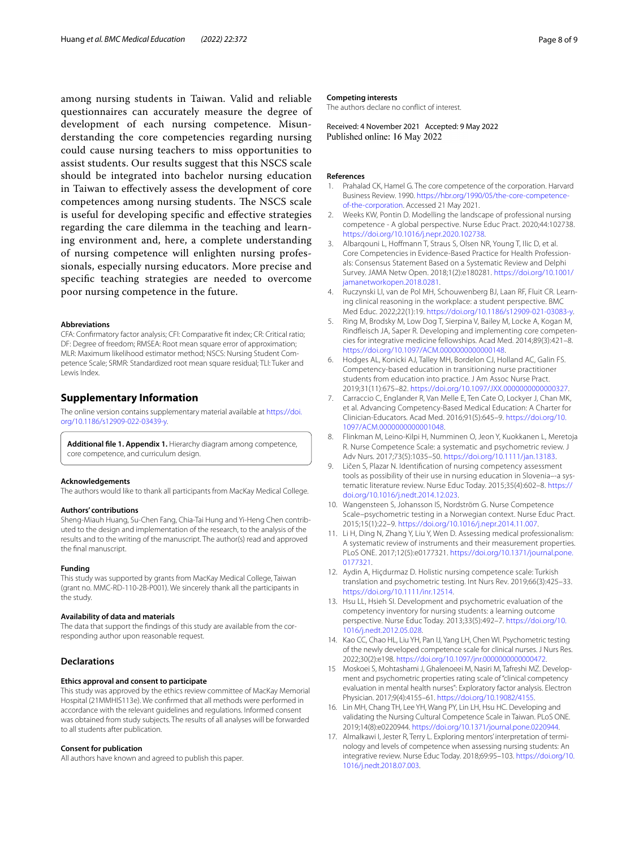among nursing students in Taiwan. Valid and reliable questionnaires can accurately measure the degree of development of each nursing competence. Misunderstanding the core competencies regarding nursing could cause nursing teachers to miss opportunities to assist students. Our results suggest that this NSCS scale should be integrated into bachelor nursing education in Taiwan to efectively assess the development of core competences among nursing students. The NSCS scale is useful for developing specifc and efective strategies regarding the care dilemma in the teaching and learning environment and, here, a complete understanding of nursing competence will enlighten nursing professionals, especially nursing educators. More precise and specifc teaching strategies are needed to overcome poor nursing competence in the future.

#### **Abbreviations**

CFA: Confrmatory factor analysis; CFI: Comparative ft index; CR: Critical ratio; DF: Degree of freedom; RMSEA: Root mean square error of approximation; MLR: Maximum likelihood estimator method; NSCS: Nursing Student Competence Scale; SRMR: Standardized root mean square residual; TLI: Tuker and Lewis Index.

## **Supplementary Information**

The online version contains supplementary material available at [https://doi.](https://doi.org/10.1186/s12909-022-03439-y) [org/10.1186/s12909-022-03439-y.](https://doi.org/10.1186/s12909-022-03439-y)

<span id="page-7-17"></span>**Additional fle 1. Appendix 1.** Hierarchy diagram among competence, core competence, and curriculum design.

#### **Acknowledgements**

The authors would like to thank all participants from MacKay Medical College.

#### **Authors' contributions**

Sheng-Miauh Huang, Su-Chen Fang, Chia-Tai Hung and Yi-Heng Chen contributed to the design and implementation of the research, to the analysis of the results and to the writing of the manuscript. The author(s) read and approved the fnal manuscript.

#### **Funding**

This study was supported by grants from MacKay Medical College, Taiwan (grant no. MMC-RD-110-2B-P001). We sincerely thank all the participants in the study.

#### **Availability of data and materials**

The data that support the findings of this study are available from the corresponding author upon reasonable request.

#### **Declarations**

## **Ethics approval and consent to participate**

This study was approved by the ethics review committee of MacKay Memorial Hospital (21MMHIS113e). We confrmed that all methods were performed in accordance with the relevant guidelines and regulations. Informed consent was obtained from study subjects. The results of all analyses will be forwarded to all students after publication.

#### **Consent for publication**

All authors have known and agreed to publish this paper.

#### **Competing interests**

The authors declare no confict of interest.

Received: 4 November 2021 Accepted: 9 May 2022

#### **References**

- <span id="page-7-0"></span>1. Prahalad CK, Hamel G. The core competence of the corporation. Harvard Business Review. 1990. [https://hbr.org/1990/05/the-core-competence](https://hbr.org/1990/05/the-core-competence-of-the-corporation) [of-the-corporation.](https://hbr.org/1990/05/the-core-competence-of-the-corporation) Accessed 21 May 2021.
- <span id="page-7-1"></span>2. Weeks KW, Pontin D. Modelling the landscape of professional nursing competence - A global perspective. Nurse Educ Pract. 2020;44:102738. [https://doi.org/10.1016/j.nepr.2020.102738.](https://doi.org/10.1016/j.nepr.2020.102738)
- <span id="page-7-2"></span>3. Albarqouni L, Hofmann T, Straus S, Olsen NR, Young T, Ilic D, et al. Core Competencies in Evidence-Based Practice for Health Professionals: Consensus Statement Based on a Systematic Review and Delphi Survey. JAMA Netw Open. 2018;1(2):e180281. [https://doi.org/10.1001/](https://doi.org/10.1001/jamanetworkopen.2018.0281) [jamanetworkopen.2018.0281.](https://doi.org/10.1001/jamanetworkopen.2018.0281)
- <span id="page-7-3"></span>4. Ruczynski LI, van de Pol MH, Schouwenberg BJ, Laan RF, Fluit CR. Learning clinical reasoning in the workplace: a student perspective. BMC Med Educ. 2022;22(1):19. <https://doi.org/10.1186/s12909-021-03083-y>.
- <span id="page-7-4"></span>5. Ring M, Brodsky M, Low Dog T, Sierpina V, Bailey M, Locke A, Kogan M, Rindfleisch JA, Saper R. Developing and implementing core competencies for integrative medicine fellowships. Acad Med. 2014;89(3):421–8. <https://doi.org/10.1097/ACM.0000000000000148>.
- <span id="page-7-5"></span>6. Hodges AL, Konicki AJ, Talley MH, Bordelon CJ, Holland AC, Galin FS. Competency-based education in transitioning nurse practitioner students from education into practice. J Am Assoc Nurse Pract. 2019;31(11):675–82. [https://doi.org/10.1097/JXX.0000000000000327.](https://doi.org/10.1097/JXX.0000000000000327)
- <span id="page-7-6"></span>7. Carraccio C, Englander R, Van Melle E, Ten Cate O, Lockyer J, Chan MK, et al. Advancing Competency-Based Medical Education: A Charter for Clinician-Educators. Acad Med. 2016;91(5):645–9. [https://doi.org/10.](https://doi.org/10.1097/ACM.0000000000001048) [1097/ACM.0000000000001048.](https://doi.org/10.1097/ACM.0000000000001048)
- <span id="page-7-7"></span>8. Flinkman M, Leino-Kilpi H, Numminen O, Jeon Y, Kuokkanen L, Meretoja R. Nurse Competence Scale: a systematic and psychometric review. J Adv Nurs. 2017;73(5):1035–50. [https://doi.org/10.1111/jan.13183.](https://doi.org/10.1111/jan.13183)
- <span id="page-7-8"></span>9. Ličen S, Plazar N. Identifcation of nursing competency assessment tools as possibility of their use in nursing education in Slovenia--a systematic literature review. Nurse Educ Today. 2015;35(4):602–8. [https://](https://doi.org/10.1016/j.nedt.2014.12.023) [doi.org/10.1016/j.nedt.2014.12.023.](https://doi.org/10.1016/j.nedt.2014.12.023)
- <span id="page-7-9"></span>10. Wangensteen S, Johansson IS, Nordström G. Nurse Competence Scale–psychometric testing in a Norwegian context. Nurse Educ Pract. 2015;15(1):22–9.<https://doi.org/10.1016/j.nepr.2014.11.007>.
- <span id="page-7-10"></span>11. Li H, Ding N, Zhang Y, Liu Y, Wen D. Assessing medical professionalism: A systematic review of instruments and their measurement properties. PLoS ONE. 2017;12(5):e0177321. [https://doi.org/10.1371/journal.pone.](https://doi.org/10.1371/journal.pone.0177321) [0177321](https://doi.org/10.1371/journal.pone.0177321).
- <span id="page-7-11"></span>12. Aydin A, Hiçdurmaz D. Holistic nursing competence scale: Turkish translation and psychometric testing. Int Nurs Rev. 2019;66(3):425–33. <https://doi.org/10.1111/inr.12514>.
- <span id="page-7-12"></span>13. Hsu LL, Hsieh SI. Development and psychometric evaluation of the competency inventory for nursing students: a learning outcome perspective. Nurse Educ Today. 2013;33(5):492–7. [https://doi.org/10.](https://doi.org/10.1016/j.nedt.2012.05.028) [1016/j.nedt.2012.05.028](https://doi.org/10.1016/j.nedt.2012.05.028).
- <span id="page-7-13"></span>14. Kao CC, Chao HL, Liu YH, Pan IJ, Yang LH, Chen WI. Psychometric testing of the newly developed competence scale for clinical nurses. J Nurs Res. 2022;30(2):e198. [https://doi.org/10.1097/jnr.0000000000000472.](https://doi.org/10.1097/jnr.0000000000000472)
- <span id="page-7-14"></span>15 Moskoei S, Mohtashami J, Ghalenoeei M, Nasiri M, Tafreshi MZ. Development and psychometric properties rating scale of "clinical competency evaluation in mental health nurses": Exploratory factor analysis. Electron Physician. 2017;9(4):4155–61. [https://doi.org/10.19082/4155.](https://doi.org/10.19082/4155)
- <span id="page-7-15"></span>16. Lin MH, Chang TH, Lee YH, Wang PY, Lin LH, Hsu HC. Developing and validating the Nursing Cultural Competence Scale in Taiwan. PLoS ONE. 2019;14(8):e0220944. [https://doi.org/10.1371/journal.pone.0220944.](https://doi.org/10.1371/journal.pone.0220944)
- <span id="page-7-16"></span>17. Almalkawi I, Jester R, Terry L. Exploring mentors' interpretation of terminology and levels of competence when assessing nursing students: An integrative review. Nurse Educ Today. 2018;69:95–103. [https://doi.org/10.](https://doi.org/10.1016/j.nedt.2018.07.003) [1016/j.nedt.2018.07.003.](https://doi.org/10.1016/j.nedt.2018.07.003)